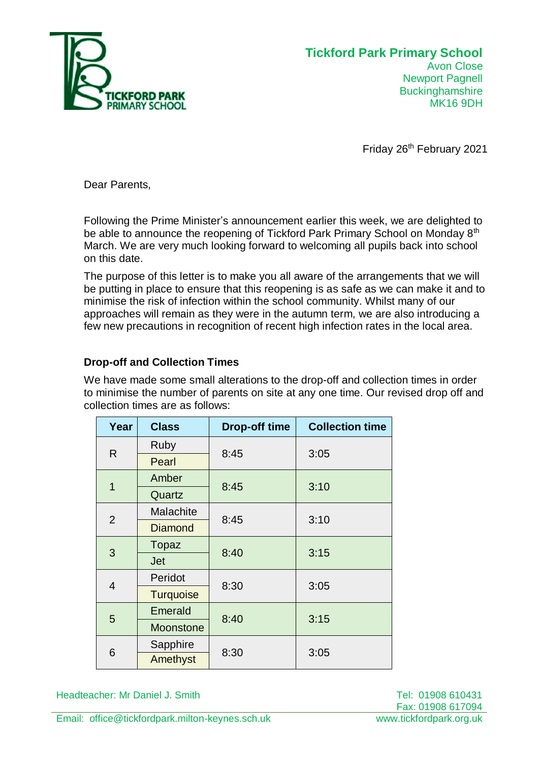

## **Tickford Park Primary School** Avon Close Newport Pagnell

**Buckinghamshire** MK16 9DH

Friday 26<sup>th</sup> February 2021

Dear Parents,

Following the Prime Minister's announcement earlier this week, we are delighted to be able to announce the reopening of Tickford Park Primary School on Monday 8<sup>th</sup> March. We are very much looking forward to welcoming all pupils back into school on this date.

The purpose of this letter is to make you all aware of the arrangements that we will be putting in place to ensure that this reopening is as safe as we can make it and to minimise the risk of infection within the school community. Whilst many of our approaches will remain as they were in the autumn term, we are also introducing a few new precautions in recognition of recent high infection rates in the local area.

# **Drop-off and Collection Times**

We have made some small alterations to the drop-off and collection times in order to minimise the number of parents on site at any one time. Our revised drop off and collection times are as follows:

| Year           | <b>Class</b>     | <b>Drop-off time</b> | <b>Collection time</b> |
|----------------|------------------|----------------------|------------------------|
| R              | <b>Ruby</b>      | 8:45                 | 3:05                   |
|                | Pearl            |                      |                        |
| 1              | Amber            | 8:45                 | 3:10                   |
|                | Quartz           |                      |                        |
| $\overline{2}$ | Malachite        | 8:45                 | 3:10                   |
|                | <b>Diamond</b>   |                      |                        |
| 3              | Topaz            | 8:40                 | 3:15                   |
|                | <b>Jet</b>       |                      |                        |
| 4              | Peridot          | 8:30                 | 3:05                   |
|                | <b>Turquoise</b> |                      |                        |
| 5              | Emerald          | 8:40                 | 3:15                   |
|                | <b>Moonstone</b> |                      |                        |
| 6              | Sapphire         | 8:30                 | 3:05                   |
|                | Amethyst         |                      |                        |

Headteacher: Mr Daniel J. Smith Tel: 01908 610431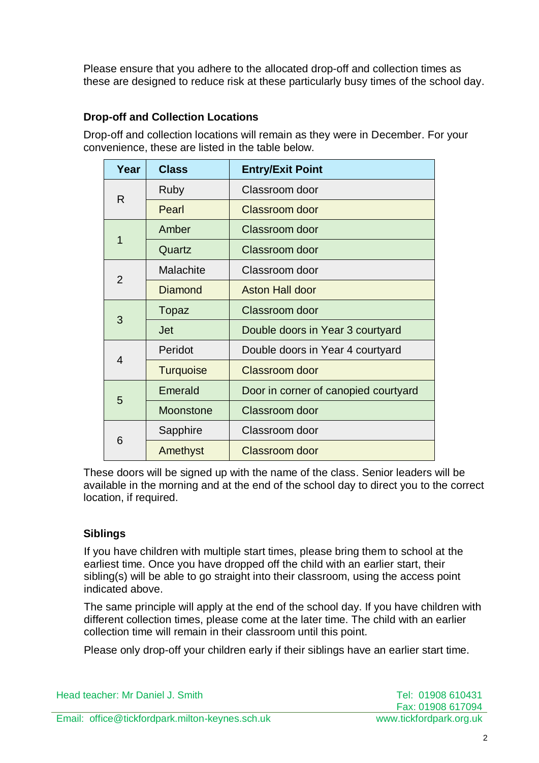Please ensure that you adhere to the allocated drop-off and collection times as these are designed to reduce risk at these particularly busy times of the school day.

# **Drop-off and Collection Locations**

Drop-off and collection locations will remain as they were in December. For your convenience, these are listed in the table below.

| Year           | <b>Class</b>     | <b>Entry/Exit Point</b>              |  |
|----------------|------------------|--------------------------------------|--|
| R              | Ruby             | Classroom door                       |  |
|                | Pearl            | Classroom door                       |  |
| 1              | Amber            | Classroom door                       |  |
|                | Quartz           | Classroom door                       |  |
| $\overline{2}$ | <b>Malachite</b> | Classroom door                       |  |
|                | Diamond          | Aston Hall door                      |  |
| 3              | Topaz            | Classroom door                       |  |
|                | Jet              | Double doors in Year 3 courtyard     |  |
| 4              | Peridot          | Double doors in Year 4 courtyard     |  |
|                | <b>Turquoise</b> | Classroom door                       |  |
| 5              | Emerald          | Door in corner of canopied courtyard |  |
|                | <b>Moonstone</b> | Classroom door                       |  |
| 6              | Sapphire         | Classroom door                       |  |
|                | Amethyst         | <b>Classroom door</b>                |  |

These doors will be signed up with the name of the class. Senior leaders will be available in the morning and at the end of the school day to direct you to the correct location, if required.

# **Siblings**

If you have children with multiple start times, please bring them to school at the earliest time. Once you have dropped off the child with an earlier start, their sibling(s) will be able to go straight into their classroom, using the access point indicated above.

The same principle will apply at the end of the school day. If you have children with different collection times, please come at the later time. The child with an earlier collection time will remain in their classroom until this point.

Please only drop-off your children early if their siblings have an earlier start time.

| Head teacher: Mr Daniel J. Smith                | Tel: 01908 610431       |
|-------------------------------------------------|-------------------------|
|                                                 | Fax: 01908 617094       |
| Email: office@tickfordpark.milton-keynes.sch.uk | www.tickfordpark.org.uk |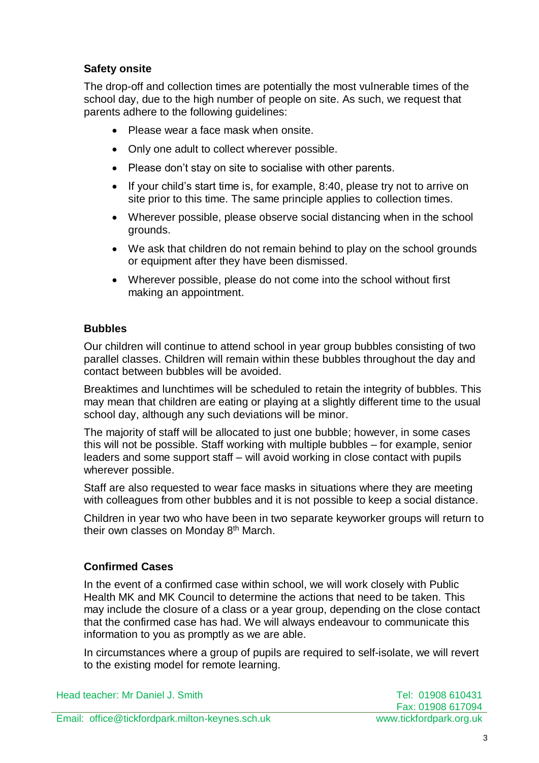## **Safety onsite**

The drop-off and collection times are potentially the most vulnerable times of the school day, due to the high number of people on site. As such, we request that parents adhere to the following guidelines:

- Please wear a face mask when onsite.
- Only one adult to collect wherever possible.
- Please don't stay on site to socialise with other parents.
- If your child's start time is, for example, 8:40, please try not to arrive on site prior to this time. The same principle applies to collection times.
- Wherever possible, please observe social distancing when in the school grounds.
- We ask that children do not remain behind to play on the school grounds or equipment after they have been dismissed.
- Wherever possible, please do not come into the school without first making an appointment.

## **Bubbles**

Our children will continue to attend school in year group bubbles consisting of two parallel classes. Children will remain within these bubbles throughout the day and contact between bubbles will be avoided.

Breaktimes and lunchtimes will be scheduled to retain the integrity of bubbles. This may mean that children are eating or playing at a slightly different time to the usual school day, although any such deviations will be minor.

The majority of staff will be allocated to just one bubble; however, in some cases this will not be possible. Staff working with multiple bubbles – for example, senior leaders and some support staff – will avoid working in close contact with pupils wherever possible.

Staff are also requested to wear face masks in situations where they are meeting with colleagues from other bubbles and it is not possible to keep a social distance.

Children in year two who have been in two separate keyworker groups will return to their own classes on Monday 8<sup>th</sup> March.

# **Confirmed Cases**

In the event of a confirmed case within school, we will work closely with Public Health MK and MK Council to determine the actions that need to be taken. This may include the closure of a class or a year group, depending on the close contact that the confirmed case has had. We will always endeavour to communicate this information to you as promptly as we are able.

In circumstances where a group of pupils are required to self-isolate, we will revert to the existing model for remote learning.

Tel: 01908 610431 Fax: 01908 617094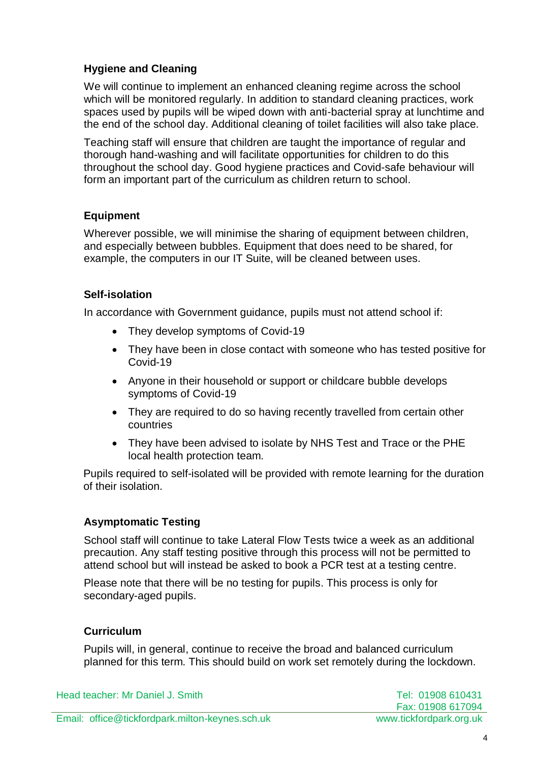# **Hygiene and Cleaning**

We will continue to implement an enhanced cleaning regime across the school which will be monitored regularly. In addition to standard cleaning practices, work spaces used by pupils will be wiped down with anti-bacterial spray at lunchtime and the end of the school day. Additional cleaning of toilet facilities will also take place.

Teaching staff will ensure that children are taught the importance of regular and thorough hand-washing and will facilitate opportunities for children to do this throughout the school day. Good hygiene practices and Covid-safe behaviour will form an important part of the curriculum as children return to school.

## **Equipment**

Wherever possible, we will minimise the sharing of equipment between children, and especially between bubbles. Equipment that does need to be shared, for example, the computers in our IT Suite, will be cleaned between uses.

## **Self-isolation**

In accordance with Government guidance, pupils must not attend school if:

- They develop symptoms of Covid-19
- They have been in close contact with someone who has tested positive for Covid-19
- Anyone in their household or support or childcare bubble develops symptoms of Covid-19
- They are required to do so having recently travelled from certain other countries
- They have been advised to isolate by NHS Test and Trace or the PHE local health protection team.

Pupils required to self-isolated will be provided with remote learning for the duration of their isolation.

## **Asymptomatic Testing**

School staff will continue to take Lateral Flow Tests twice a week as an additional precaution. Any staff testing positive through this process will not be permitted to attend school but will instead be asked to book a PCR test at a testing centre.

Please note that there will be no testing for pupils. This process is only for secondary-aged pupils.

## **Curriculum**

Pupils will, in general, continue to receive the broad and balanced curriculum planned for this term. This should build on work set remotely during the lockdown.